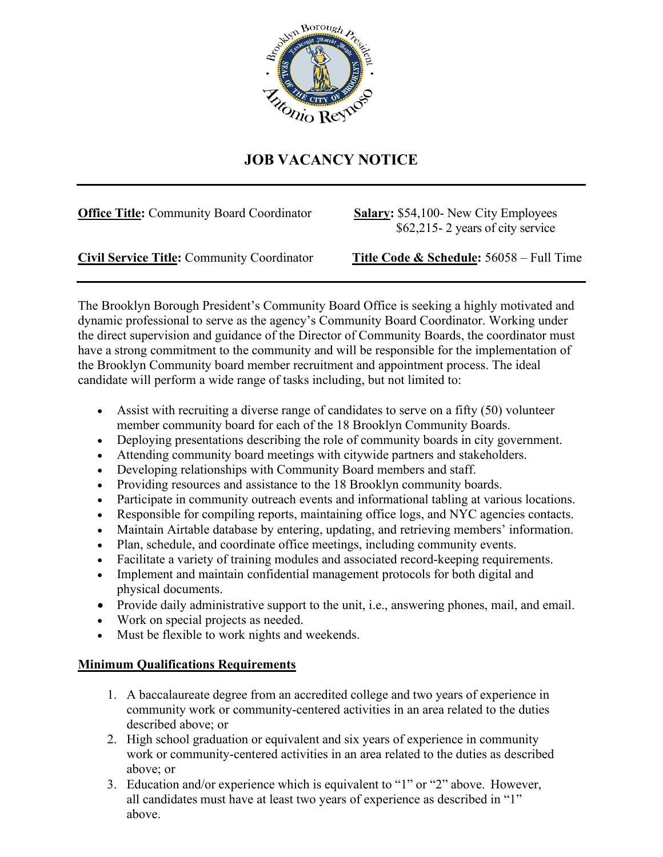

## **JOB VACANCY NOTICE**

| <b>Office Title:</b> Community Board Coordinator |
|--------------------------------------------------|
|--------------------------------------------------|

**Salary: \$54,100- New City Employees** \$62,215- 2 years of city service

**Civil Service Title:** Community Coordinator **Title Code & Schedule:** 56058 – Full Time

The Brooklyn Borough President's Community Board Office is seeking a highly motivated and dynamic professional to serve as the agency's Community Board Coordinator. Working under the direct supervision and guidance of the Director of Community Boards, the coordinator must have a strong commitment to the community and will be responsible for the implementation of the Brooklyn Community board member recruitment and appointment process. The ideal candidate will perform a wide range of tasks including, but not limited to:

- Assist with recruiting a diverse range of candidates to serve on a fifty (50) volunteer member community board for each of the 18 Brooklyn Community Boards.
- Deploying presentations describing the role of community boards in city government.
- Attending community board meetings with citywide partners and stakeholders.
- Developing relationships with Community Board members and staff.
- Providing resources and assistance to the 18 Brooklyn community boards.
- Participate in community outreach events and informational tabling at various locations.
- Responsible for compiling reports, maintaining office logs, and NYC agencies contacts.
- Maintain Airtable database by entering, updating, and retrieving members' information.
- Plan, schedule, and coordinate office meetings, including community events.
- Facilitate a variety of training modules and associated record-keeping requirements.
- Implement and maintain confidential management protocols for both digital and physical documents.
- Provide daily administrative support to the unit, i.e., answering phones, mail, and email.
- Work on special projects as needed.
- Must be flexible to work nights and weekends.

## **Minimum Qualifications Requirements**

- 1. A baccalaureate degree from an accredited college and two years of experience in community work or community-centered activities in an area related to the duties described above; or
- 2. High school graduation or equivalent and six years of experience in community work or community-centered activities in an area related to the duties as described above; or
- 3. Education and/or experience which is equivalent to "1" or "2" above. However, all candidates must have at least two years of experience as described in "1" above.